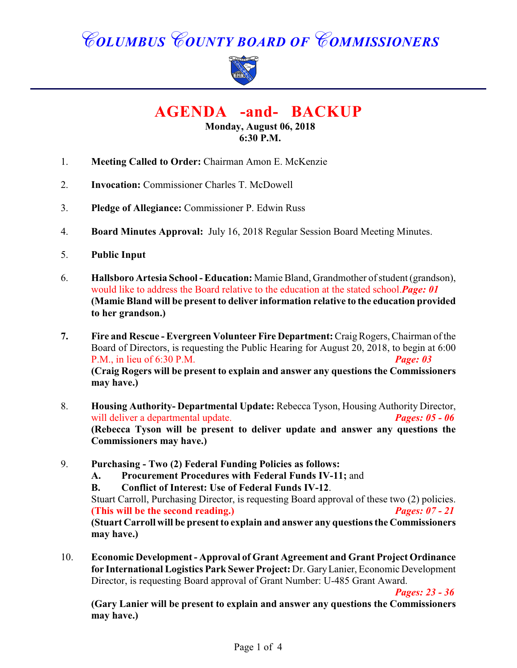# *COLUMBUS COUNTY BOARD OF COMMISSIONERS*



**AGENDA -and- BACKUP**

**Monday, August 06, 2018 6:30 P.M.**

- 1. **Meeting Called to Order:** Chairman Amon E. McKenzie
- 2. **Invocation:** Commissioner Charles T. McDowell
- 3. **Pledge of Allegiance:** Commissioner P. Edwin Russ
- 4. **Board Minutes Approval:** July 16, 2018 Regular Session Board Meeting Minutes.
- 5. **Public Input**
- 6. **Hallsboro Artesia School Education:** Mamie Bland, Grandmother of student (grandson), would like to address the Board relative to the education at the stated school.*Page: 01* **(Mamie Bland will be present to deliver information relative to the education provided to her grandson.)**
- **7. Fire and Rescue Evergreen Volunteer Fire Department:** Craig Rogers, Chairman of the Board of Directors, is requesting the Public Hearing for August 20, 2018, to begin at 6:00 P.M., in lieu of 6:30 P.M. *Page: 03* **(Craig Rogers will be present to explain and answer any questions the Commissioners may have.)**
- 8. **Housing Authority- Departmental Update:** Rebecca Tyson, Housing Authority Director, will deliver a departmental update. *Pages: 05 - 06* **(Rebecca Tyson will be present to deliver update and answer any questions the Commissioners may have.)**
- 9. **Purchasing Two (2) Federal Funding Policies as follows:**
	- **A. Procurement Procedures with Federal Funds IV-11;** and
	- **B. Conflict of Interest: Use of Federal Funds IV-12**.

Stuart Carroll, Purchasing Director, is requesting Board approval of these two (2) policies. **(This will be the second reading.)** *Pages: 07 - 21* **(Stuart Carroll will be present to explain and answer any questions the Commissioners may have.)**

10. **Economic Development - Approval of Grant Agreement and Grant Project Ordinance for International Logistics Park Sewer Project:** Dr. Gary Lanier, Economic Development Director, is requesting Board approval of Grant Number: U-485 Grant Award.

*Pages: 23 - 36*

**(Gary Lanier will be present to explain and answer any questions the Commissioners may have.)**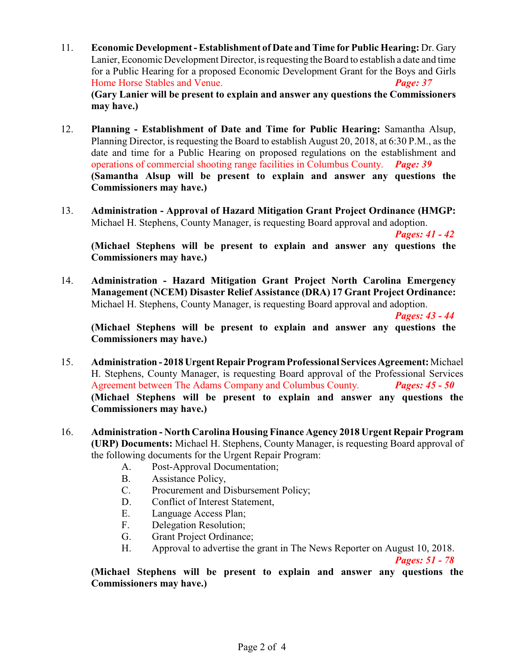- 11. **Economic Development Establishment of Date and Time for Public Hearing:** Dr. Gary Lanier, Economic Development Director, is requesting the Board to establish a date and time for a Public Hearing for a proposed Economic Development Grant for the Boys and Girls Home Horse Stables and Venue. *Page: 37* **(Gary Lanier will be present to explain and answer any questions the Commissioners may have.)**
- 12. **Planning Establishment of Date and Time for Public Hearing:** Samantha Alsup, Planning Director, is requesting the Board to establish August 20, 2018, at 6:30 P.M., as the date and time for a Public Hearing on proposed regulations on the establishment and operations of commercial shooting range facilities in Columbus County. *Page: 39* **(Samantha Alsup will be present to explain and answer any questions the Commissioners may have.)**
- 13. **Administration Approval of Hazard Mitigation Grant Project Ordinance (HMGP:** Michael H. Stephens, County Manager, is requesting Board approval and adoption.

*Pages: 41 - 42*

**(Michael Stephens will be present to explain and answer any questions the Commissioners may have.)**

14. **Administration - Hazard Mitigation Grant Project North Carolina Emergency Management (NCEM) Disaster Relief Assistance (DRA) 17 Grant Project Ordinance:** Michael H. Stephens, County Manager, is requesting Board approval and adoption.

*Pages: 43 - 44*

**(Michael Stephens will be present to explain and answer any questions the Commissioners may have.)**

- 15. **Administration 2018 Urgent Repair Program Professional Services Agreement:** Michael H. Stephens, County Manager, is requesting Board approval of the Professional Services Agreement between The Adams Company and Columbus County. *Pages: 45 - 50* **(Michael Stephens will be present to explain and answer any questions the Commissioners may have.)**
- 16. **Administration North Carolina Housing Finance Agency 2018 Urgent Repair Program (URP) Documents:** Michael H. Stephens, County Manager, is requesting Board approval of the following documents for the Urgent Repair Program:
	- A. Post-Approval Documentation;
	- B. Assistance Policy,
	- C. Procurement and Disbursement Policy;
	- D. Conflict of Interest Statement,
	- E. Language Access Plan;
	- F. Delegation Resolution;
	- G. Grant Project Ordinance;
	- H. Approval to advertise the grant in The News Reporter on August 10, 2018.

*Pages: 51 - 78*

**(Michael Stephens will be present to explain and answer any questions the Commissioners may have.)**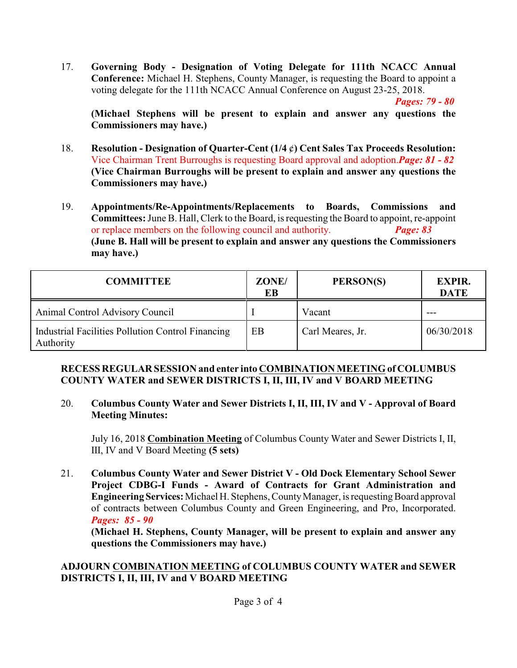17. **Governing Body - Designation of Voting Delegate for 111th NCACC Annual Conference:** Michael H. Stephens, County Manager, is requesting the Board to appoint a voting delegate for the 111th NCACC Annual Conference on August 23-25, 2018.

*Pages: 79 - 80*

**(Michael Stephens will be present to explain and answer any questions the Commissioners may have.)**

- 18. **Resolution Designation of Quarter-Cent (1/4** ¢**) Cent Sales Tax Proceeds Resolution:** Vice Chairman Trent Burroughs is requesting Board approval and adoption.*Page: 81 - 82* **(Vice Chairman Burroughs will be present to explain and answer any questions the Commissioners may have.)**
- 19. **Appointments/Re-Appointments/Replacements to Boards, Commissions and Committees:** June B. Hall, Clerk to the Board, is requesting the Board to appoint, re-appoint or replace members on the following council and authority. *Page: 83* **(June B. Hall will be present to explain and answer any questions the Commissioners may have.)**

| <b>COMMITTEE</b>                                               | ZONE/<br>EB | PERSON(S)        | <b>EXPIR.</b><br><b>DATE</b> |
|----------------------------------------------------------------|-------------|------------------|------------------------------|
| Animal Control Advisory Council                                |             | Vacant           |                              |
| Industrial Facilities Pollution Control Financing<br>Authority | EB          | Carl Meares, Jr. | 06/30/2018                   |

#### **RECESS REGULAR SESSION and enter into COMBINATION MEETING of COLUMBUS COUNTY WATER and SEWER DISTRICTS I, II, III, IV and V BOARD MEETING**

#### 20. **Columbus County Water and Sewer Districts I, II, III, IV and V - Approval of Board Meeting Minutes:**

July 16, 2018 **Combination Meeting** of Columbus County Water and Sewer Districts I, II, III, IV and V Board Meeting **(5 sets)**

21. **Columbus County Water and Sewer District V - Old Dock Elementary School Sewer Project CDBG-I Funds - Award of Contracts for Grant Administration and Engineering Services:** Michael H. Stephens, County Manager, is requesting Board approval of contracts between Columbus County and Green Engineering, and Pro, Incorporated. *Pages: 85 - 90*

**(Michael H. Stephens, County Manager, will be present to explain and answer any questions the Commissioners may have.)**

#### **ADJOURN COMBINATION MEETING of COLUMBUS COUNTY WATER and SEWER DISTRICTS I, II, III, IV and V BOARD MEETING**